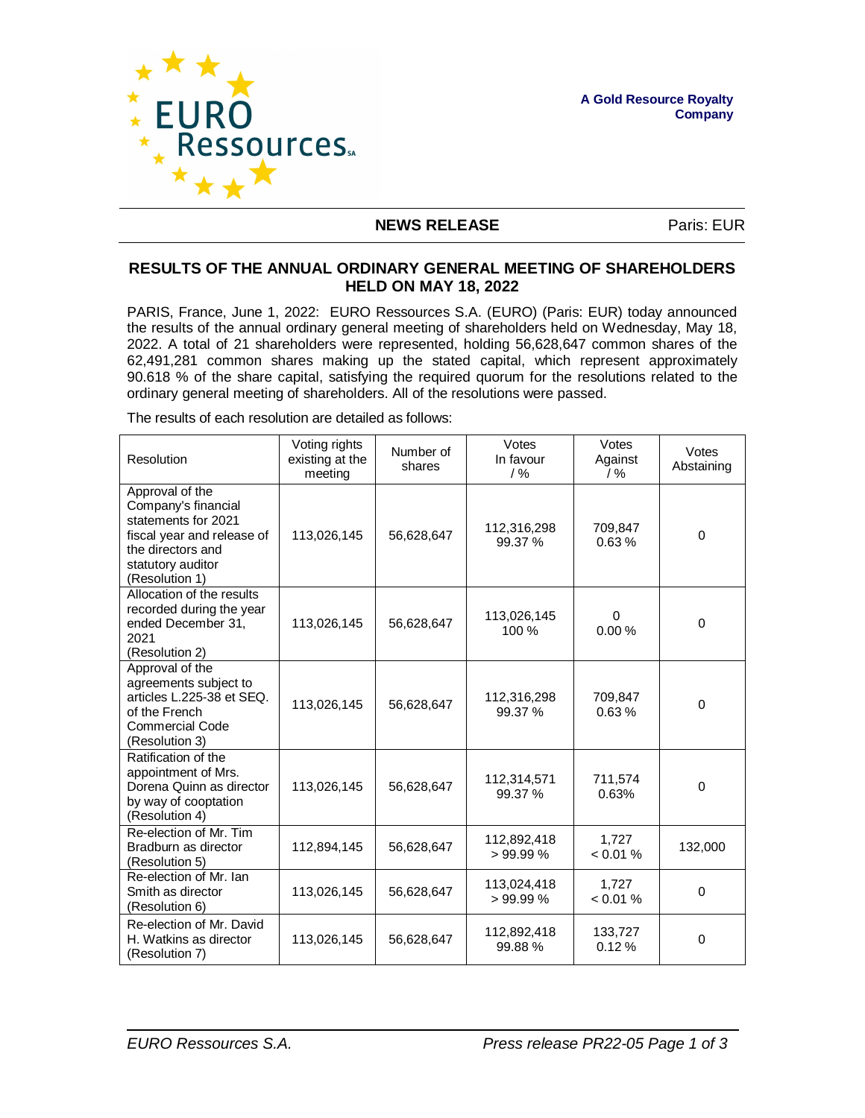

## **NEWS RELEASE** Paris: EUR

## **RESULTS OF THE ANNUAL ORDINARY GENERAL MEETING OF SHAREHOLDERS HELD ON MAY 18, 2022**

PARIS, France, June 1, 2022: EURO Ressources S.A. (EURO) (Paris: EUR) today announced the results of the annual ordinary general meeting of shareholders held on Wednesday, May 18, 2022. A total of 21 shareholders were represented, holding 56,628,647 common shares of the 62,491,281 common shares making up the stated capital, which represent approximately 90.618 % of the share capital, satisfying the required quorum for the resolutions related to the ordinary general meeting of shareholders. All of the resolutions were passed.

The results of each resolution are detailed as follows:

| Resolution                                                                                                                                              | Voting rights<br>existing at the<br>meeting | Number of<br>shares | Votes<br>In favour<br>$/$ % | Votes<br>Against<br>$/$ % | Votes<br>Abstaining |
|---------------------------------------------------------------------------------------------------------------------------------------------------------|---------------------------------------------|---------------------|-----------------------------|---------------------------|---------------------|
| Approval of the<br>Company's financial<br>statements for 2021<br>fiscal year and release of<br>the directors and<br>statutory auditor<br>(Resolution 1) | 113,026,145                                 | 56,628,647          | 112,316,298<br>99.37 %      | 709,847<br>0.63%          | $\Omega$            |
| Allocation of the results<br>recorded during the year<br>ended December 31,<br>2021<br>(Resolution 2)                                                   | 113,026,145                                 | 56,628,647          | 113,026,145<br>100 %        | $\Omega$<br>0.00%         | $\mathbf 0$         |
| Approval of the<br>agreements subject to<br>articles L.225-38 et SEQ.<br>of the French<br><b>Commercial Code</b><br>(Resolution 3)                      | 113,026,145                                 | 56,628,647          | 112,316,298<br>99.37 %      | 709,847<br>0.63%          | $\Omega$            |
| Ratification of the<br>appointment of Mrs.<br>Dorena Quinn as director<br>by way of cooptation<br>(Resolution 4)                                        | 113,026,145                                 | 56,628,647          | 112,314,571<br>99.37 %      | 711,574<br>0.63%          | $\Omega$            |
| Re-election of Mr. Tim<br>Bradburn as director<br>(Resolution 5)                                                                                        | 112,894,145                                 | 56,628,647          | 112,892,418<br>>99.99%      | 1.727<br>< 0.01 %         | 132,000             |
| Re-election of Mr. Ian<br>Smith as director<br>(Resolution 6)                                                                                           | 113,026,145                                 | 56,628,647          | 113,024,418<br>>99.99%      | 1,727<br>< 0.01 %         | $\Omega$            |
| Re-election of Mr. David<br>H. Watkins as director<br>(Resolution 7)                                                                                    | 113,026,145                                 | 56,628,647          | 112,892,418<br>99.88%       | 133,727<br>0.12%          | $\mathbf 0$         |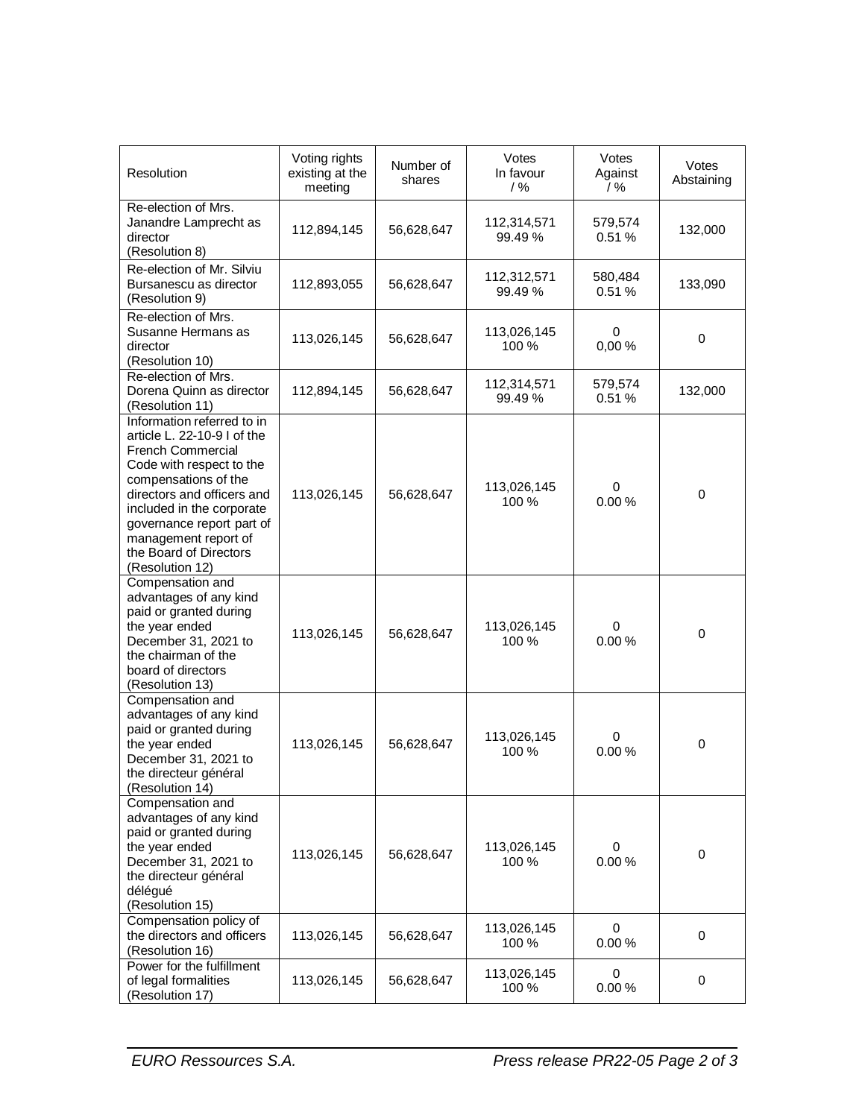| Resolution                                                                                                                                                                                                                                                                                      | Voting rights<br>existing at the<br>meeting | Number of<br>shares | Votes<br>In favour<br>$/$ % | Votes<br>Against<br>$/$ % | Votes<br>Abstaining |
|-------------------------------------------------------------------------------------------------------------------------------------------------------------------------------------------------------------------------------------------------------------------------------------------------|---------------------------------------------|---------------------|-----------------------------|---------------------------|---------------------|
| Re-election of Mrs.<br>Janandre Lamprecht as<br>director<br>(Resolution 8)                                                                                                                                                                                                                      | 112,894,145                                 | 56,628,647          | 112,314,571<br>99.49 %      | 579,574<br>0.51%          | 132,000             |
| Re-election of Mr. Silviu<br>Bursanescu as director<br>(Resolution 9)                                                                                                                                                                                                                           | 112,893,055                                 | 56,628,647          | 112,312,571<br>99.49 %      | 580,484<br>0.51%          | 133,090             |
| Re-election of Mrs.<br>Susanne Hermans as<br>director<br>(Resolution 10)                                                                                                                                                                                                                        | 113,026,145                                 | 56,628,647          | 113,026,145<br>100 %        | 0<br>0,00%                | $\mathbf 0$         |
| Re-election of Mrs.<br>Dorena Quinn as director<br>(Resolution 11)                                                                                                                                                                                                                              | 112,894,145                                 | 56,628,647          | 112,314,571<br>99.49 %      | 579,574<br>0.51%          | 132,000             |
| Information referred to in<br>article L. 22-10-9 I of the<br>French Commercial<br>Code with respect to the<br>compensations of the<br>directors and officers and<br>included in the corporate<br>governance report part of<br>management report of<br>the Board of Directors<br>(Resolution 12) | 113,026,145                                 | 56,628,647          | 113,026,145<br>100 %        | 0<br>0.00%                | $\mathbf 0$         |
| Compensation and<br>advantages of any kind<br>paid or granted during<br>the year ended<br>December 31, 2021 to<br>the chairman of the<br>board of directors<br>(Resolution 13)                                                                                                                  | 113,026,145                                 | 56,628,647          | 113,026,145<br>100 %        | 0<br>0.00%                | $\pmb{0}$           |
| Compensation and<br>advantages of any kind<br>paid or granted during<br>the year ended<br>December 31, 2021 to<br>the directeur général<br>(Resolution 14)                                                                                                                                      | 113,026,145                                 | 56,628,647          | 113,026,145<br>100 %        | 0<br>0.00%                | $\pmb{0}$           |
| Compensation and<br>advantages of any kind<br>paid or granted during<br>the year ended<br>December 31, 2021 to<br>the directeur général<br>délégué<br>(Resolution 15)                                                                                                                           | 113,026,145                                 | 56,628,647          | 113,026,145<br>100 %        | 0<br>0.00%                | $\pmb{0}$           |
| Compensation policy of<br>the directors and officers<br>(Resolution 16)                                                                                                                                                                                                                         | 113,026,145                                 | 56,628,647          | 113,026,145<br>100 %        | 0<br>0.00%                | $\mathbf 0$         |
| Power for the fulfillment<br>of legal formalities<br>(Resolution 17)                                                                                                                                                                                                                            | 113,026,145                                 | 56,628,647          | 113,026,145<br>100 %        | $\mathbf 0$<br>0.00%      | 0                   |